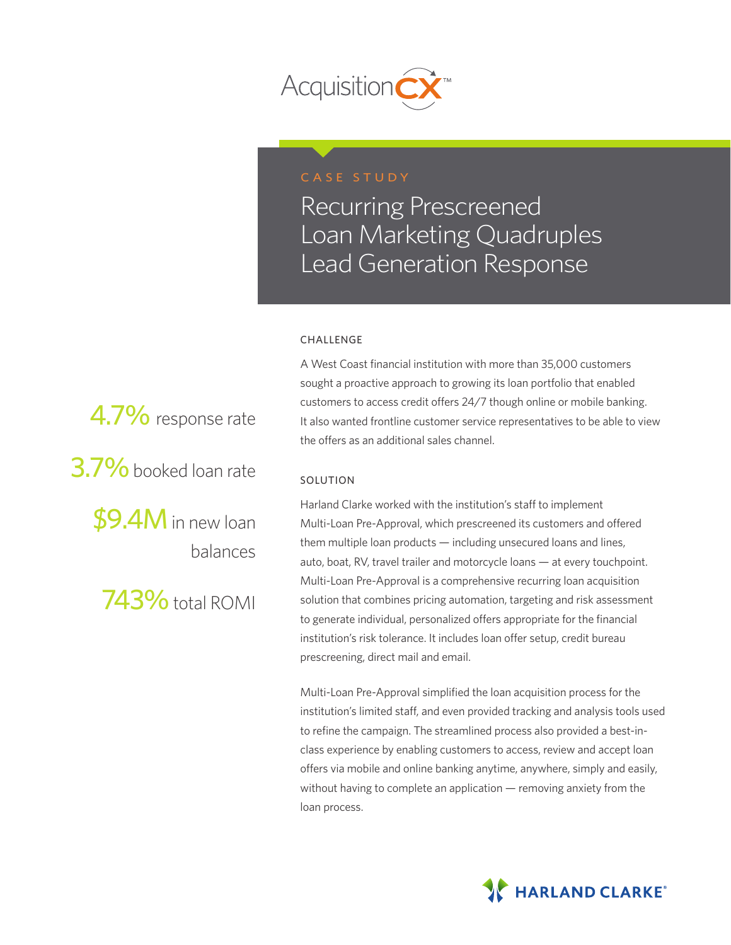

## CASE STUDY

Recurring Prescreened Loan Marketing Quadruples Lead Generation Response

#### CHALLENGE

A West Coast financial institution with more than 35,000 customers sought a proactive approach to growing its loan portfolio that enabled customers to access credit offers 24/7 though online or mobile banking. It also wanted frontline customer service representatives to be able to view the offers as an additional sales channel.

#### SOLUTION

Harland Clarke worked with the institution's staff to implement Multi-Loan Pre-Approval, which prescreened its customers and offered them multiple loan products — including unsecured loans and lines, auto, boat, RV, travel trailer and motorcycle loans — at every touchpoint. Multi-Loan Pre-Approval is a comprehensive recurring loan acquisition solution that combines pricing automation, targeting and risk assessment to generate individual, personalized offers appropriate for the financial institution's risk tolerance. It includes loan offer setup, credit bureau prescreening, direct mail and email.

Multi-Loan Pre-Approval simplified the loan acquisition process for the institution's limited staff, and even provided tracking and analysis tools used to refine the campaign. The streamlined process also provided a best-inclass experience by enabling customers to access, review and accept loan offers via mobile and online banking anytime, anywhere, simply and easily, without having to complete an application — removing anxiety from the loan process.



4.7% response rate 3.7% booked loan rate \$9.4M in new loan balances

743% total ROMI